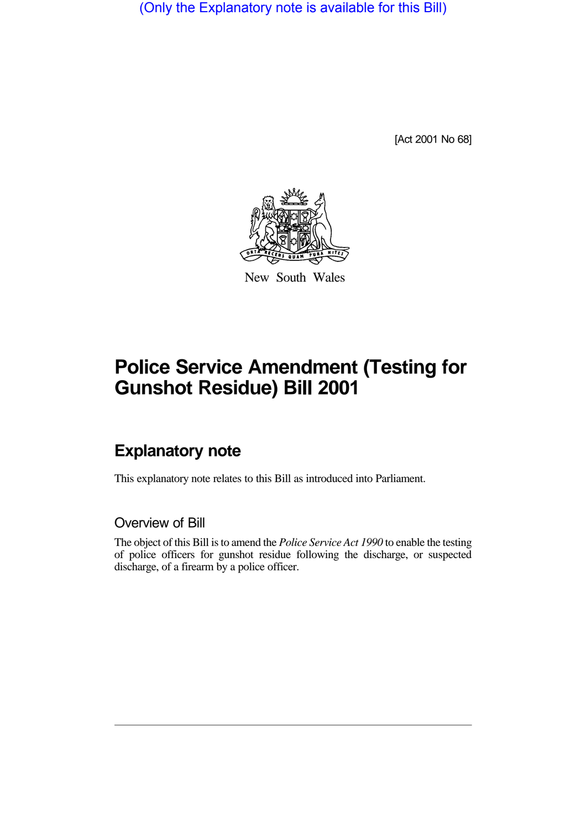(Only the Explanatory note is available for this Bill)

[Act 2001 No 68]



New South Wales

# **Police Service Amendment (Testing for Gunshot Residue) Bill 2001**

## **Explanatory note**

This explanatory note relates to this Bill as introduced into Parliament.

#### Overview of Bill

The object of this Bill is to amend the *Police Service Act 1990* to enable the testing of police officers for gunshot residue following the discharge, or suspected discharge, of a firearm by a police officer.